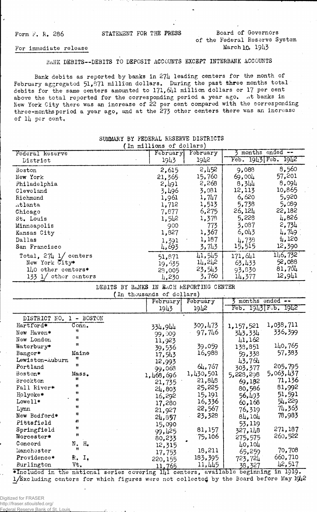#### Form F. R. 286 STATEMENT FOR THE PRESS Board of Governors of the Federal Reserve System For immediate release  $M_0$ ,  $19\mu$ <sup>3</sup>

### BANK DEBITS--DEBITS TO DEPOSIT ACCOUNTS EXCEPT INTERBANK ACCOUNTS

Bank debits as reported by banks in 274 leading centers for the month of February aggregated  $51,871$  million dollars. During the past three months total debits for the same centers amounted to 171, 641 million dollars or 17 per cent above the total reported for the corresponding period a year ago. At banks in New York City there was an increase of 22 per cent compared with the corresponding three-months period a year ago, and at the 273 other centers there was an increase of II4 per cent,

| In millions of dollars)           |                 |          |                   |                     |  |  |  |
|-----------------------------------|-----------------|----------|-------------------|---------------------|--|--|--|
| Federal Reserve                   | <b>February</b> | February | 3 months ended -- |                     |  |  |  |
| District                          | 1943            | 1942     |                   | Feb. 1943 Feb. 1942 |  |  |  |
| Boston                            | 2,615           | 2,452    | 9,088             | 8,560               |  |  |  |
| New York                          | 21,365          | 15,760   | 69,004            | 57,201              |  |  |  |
| Philadelphia                      | 2,491           | 2,268    | 8,344             | 8,094               |  |  |  |
| Cleveland                         | 3.496           | 3,081    | 12,113            | 10,865              |  |  |  |
| Richmond                          | 1,961           | 1,747    | 6,620             | 5,920               |  |  |  |
| Atlanta                           | 1,712           | 1,513    | 5,738             | 5.089               |  |  |  |
| Chicago                           | 7,877           | 6,275    | 26,124            | 22,182              |  |  |  |
| St. Louis                         | 1,542           | 1,378    | 5,228             | 4,826               |  |  |  |
| Minneapolis                       | 900             | 773      | 3,087             | 2,734               |  |  |  |
| Kansas City                       | 1,827           | 1,367    | 6,043             | 4,749               |  |  |  |
| Dallas                            | 1,391           | 1,187    | 4,738             | 4,120               |  |  |  |
| San Francisco                     | 4,693           | 3,743    | 15,515            | 12,390              |  |  |  |
| Total, $27\frac{1}{2}$ 1/ centers | 51,871          | 41,545   | 171,641           | 11,6,732            |  |  |  |
| New York City*                    | 19, 535         | 14,242   | 63,433            | 52,088              |  |  |  |
| $1\text{10}$ other centers*       | 28,005          | 23,543   | 93,830            | 81,701              |  |  |  |
| 133 1/ other centers              | 4,230           | 3,760    | 14,377            | 12,941              |  |  |  |

## SUMMARY BY FEDERAL RESERVE DISTRICTS

DEBITS BY BANKS IN EACH REPORTING CENTER

|                 |                     | (In thousands of dollars) |           |           |           |                     |
|-----------------|---------------------|---------------------------|-----------|-----------|-----------|---------------------|
|                 |                     |                           | February  | February  |           | months ended --     |
|                 |                     |                           | 1943      | 1942      |           | Feb. 1943 Feb. 1942 |
| DISTRICT NO.    | - BOSTON            |                           |           |           |           |                     |
| Hartford*       | Conn.               |                           | 334,944   | 309,473   | 1,157,521 | 1,038,711           |
| New Haven*      | Ħ                   |                           | 99,009    | 97,746    | 343,334   | 336,399             |
| New London      | 11                  |                           | 11,923    |           | 41,162    |                     |
| Waterbury*      | $\mathbf{H}$        |                           | 39,536    | 39,059    | 138,851   | 140,765             |
| Bangor*         | Maine               |                           | 17,543    | 16,988    | 59,338    | 57,383              |
| Lewiston-Auburn | Ħ                   |                           | 12,993    |           | 43,764    |                     |
| Portland        | Ħ                   |                           | 99,068    | 64,767    | 303,377   | 205,795             |
| Boston*         | Mass.               |                           | 1,468,696 | 1,430,501 | 5,228,298 | 5,063,437           |
| Brockton        | 11                  |                           | 21,735    | 21,848    | 69,182    | 71,136              |
| Fall River*     | Ħ                   |                           | 24,803    | 25,225    | 80,586    | 81,992              |
| Holyoke*        | **                  |                           | 16,292    | 15, 191   | 56,493    | 51,591              |
| Lowell*         | $\mathbf{H}$        |                           | 17,280    | 16,336    | 60,168    | 54,229              |
| Lynn            | Ħ                   |                           | 21,927    | 22,567    | 76,319    | 74,363              |
| New Bedford*    | Ħ                   |                           | 24,857    | 23,328    | 84.104    | 78,983              |
| Pittsfield      | 41                  |                           | 15,090    |           | 53,119    |                     |
| Springfield     | Ħ                   |                           | 99,425    | 81,157    | 327,148   | 271,187             |
| Worcester*      | n                   |                           | 80,233    | 75,106    | 275,575   | 260,522             |
| Concord         | Ν.<br>$H_{\bullet}$ |                           | 12,315    |           | 40,104    |                     |
| Manchester      | Ħ                   |                           | 17,753    | 18,211    | 65,259    | 70,708              |
| Providence*     | R. I.               |                           | 220,155   | 183,395   | 723,724   | 660,710             |
| Burlington      | Vt.                 |                           | 11,765    | 11,445    | 38,327    | 42,517              |

 $*$ Included in the national series covering  $1/1$  centers, available beginning in 1919.  $1/k$ xc luding centers for which figures were not collected by the Board before May 1942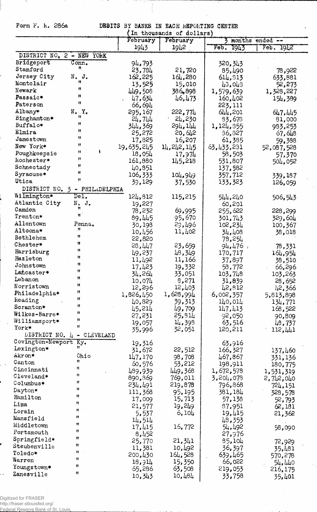Form F. k. 286a

 $^{\circ}$ 

DEBITS BY BANKS IN EACH REPORTING CENTER<br>(In thousands of dollars)

|                                |                             | February         | in thousands of dollars)<br>February |                     | months ended --      |
|--------------------------------|-----------------------------|------------------|--------------------------------------|---------------------|----------------------|
|                                |                             | 1943             | 1942                                 | Feb.<br>1943        | Feb. 1942            |
| DISTRICT NO. 2 - NEW YORK      |                             |                  |                                      |                     |                      |
| Bridgeport                     | Conn <sub>•</sub>           |                  |                                      |                     |                      |
| Stamford                       | n                           | 94,793<br>23,784 | 21,720                               | 320,343             |                      |
| Jersey City                    | $N$ . $J$ .                 | 162,225          | 164,280                              | 85,490              | 78,922               |
| Montclair                      |                             | 13,525           | 15,010                               | 614,813             | 633,881              |
| Newark                         | Ħ                           | 449,508          | 386,898                              | 43,043<br>1,579,639 | 52,273               |
| Passaic*                       | 11                          | 47,634           | 46,473                               | 160,402             | 1,328,227<br>154,389 |
| Paterson                       | Ħ                           | 66,694           |                                      | 223,111             |                      |
| Albany*                        | N.Y.                        | 295,167          | 222,774                              | 644,201             | 647,445              |
| Binghamton*                    | Ħ                           | 24,744           | 24,230                               | 83,678              | 81,000               |
| Buffalo*                       | 11                          | 344,369          | 294,144                              | 1,124,355           | 983,253              |
| Elmira                         | u                           | 25,272           | 20,612                               | 36,827              | 67,648               |
| Jamestown                      | Ħ                           | 17,825           | 16,207                               | 61,385              | 59.388               |
| New York*                      | u                           | 19,635,245       | 14, 242, 145                         | 63,433,231          | 52,087,528           |
| Poughkeepsie                   | n                           | 18,054           | 17,974                               | 58,503              | 57,370               |
| kochester*                     | n                           | 161,880          | 145,218                              | 531,807             | 504,052              |
| Schnectady                     | Ħ                           | 40,851           |                                      | 137,582             |                      |
| Syracuse*                      | Ħ                           | 106,333          | 104,949                              | 357,712             | 339,187              |
| Utica                          | Ħ                           | 39,129           | 37,530                               | 133,323             | 126,059              |
| DISTRICT NO. 3 -               | PHILADELPHIA                |                  |                                      |                     |                      |
| Wilmington*                    | $\overline{\texttt{Del}}$ . | 124,812          | 115,215                              | 544,240             | 506,543              |
| Atlantic City                  | $N$ . J.                    | 19,227           |                                      | 60,201              |                      |
| Camden                         |                             | 78,232           | 69,995                               | 255,622             | 228,299              |
| Trenton*                       | Ħ                           | 89,445           | 95,670                               | 301,743             | 329,604              |
| Allentown                      | Penna.                      | 30,198           | 29,496                               | 102,234             | 100,367              |
| Altoona*                       | Ħ                           | 10,456           | 11,402                               | 34,408              | 38,018               |
| Bethlehem                      | 11<br>Ħ                     | 22,820           |                                      | 78,254              |                      |
| Chester*                       | Ħ                           | 28,447           | 23,659                               | $94,476$ ,          | 78,331               |
| Harrisburg                     | Ħ                           | 49,237           | 48,349                               | 170,717             | 164,954              |
| Hazleton                       | 11                          | 11,492           | 11,166                               | 37,897              | 38,510               |
| Johnstown                      | Ħ                           | 17,423           | 19,332                               | 58,772              | 66,296               |
| Lancaster*<br>Lebanon          | Ħ                           | 34,264           | 33,051                               | 103,748             | 103,263              |
| Norristown                     | Ħ                           | 10,074           | 8,271                                | 31,839              | 28,652               |
| Philadelphia*                  | п                           | 12,296           | 12,403                               | 42,812              | 42,366               |
| keading                        | Ħ                           | 1,826,450        | 1,628,994                            | 6,002,357           | 5,813,898            |
| Scranton*                      | Ħ                           | 40,829           | 39,313                               | 140,014             | 134,771              |
| Wilkes-Barre*                  | 11                          | 45,214           | 49,709                               | 147,413             | 168,522              |
| Williamsport*                  | n                           | 27,231           | 25,311<br>14,398                     | 92,050              | 90,809               |
| York*                          | 11                          | 19,057<br>35,996 | 32,051                               | 63,516<br>120,211   | 48,737               |
| DISTRICT NO. $\mu$ - CLEVELAND |                             |                  |                                      |                     | 112,441              |
| Covington-Newport Ky.          |                             | 19,316           |                                      | 63,916              |                      |
| Lexington*                     | Ħ                           | 31,672           | 22,512                               | 166,327             | 137,460              |
| Akron*                         | Ohio                        | 147,170          | 98,708                               | 467,867             | 331,136              |
| Canton                         | Ħ                           | 60,576           | 53,212                               | 198,911             | 180,775              |
| Cincinnati                     | 11                          | 489,939          | 449,368                              | 1,672,578           | 1,531,319            |
| Cleveland*                     | 11                          | 890,869          | 769,011                              | 3,204,078           | 2,742,040            |
| Columbus*                      | 11                          | 234,491          | 219,878                              | 796,868             | 724,151              |
| Dayton*                        | 11                          | 111,368          | 95, 195                              | 381,184             | 328,578              |
| Hamilton                       | 11                          | 17,009           | 15,713                               | 57,138              | 52,793               |
| Lima                           | Ħ<br>11                     | 21,577           | 19,249                               | 87,951              | 62,181               |
| Lorain                         | n                           | 5,537            | 6,104                                | 19,415              | 21,362               |
| Mansfield                      | 11                          | 14,514           |                                      | 48,353              |                      |
| Middletown                     | n                           | 17,415           | 16,772                               | 54,492              | 58,090               |
| Portsmouth                     | Ħ                           | 8,452            |                                      | 27,976              |                      |
| Springfield*                   | 11                          | 25,770           | 21,341                               | 85,104              | 72,929               |
| Steubenville                   | n                           | 11,381           | 10,492                               | 36,397              | 35,481               |
| Toledo*<br>Warren              | Ħ                           | 200,430          | 164,528                              | 639,465             | 570,278              |
| Youngstown*                    | 11                          | 18,914           | 15,350                               | 66,022              | 54,440               |
| Zanesville                     | Ħ                           | 65,286           | 63,508                               | 219,053             | 216,175              |
|                                |                             | 10,343           | 10,484                               | 33,758              | 35,401               |

Digitized for FRASER<br>http://fraser.stlouisfed.org/<br>Federal Reserve Bank of St. Louis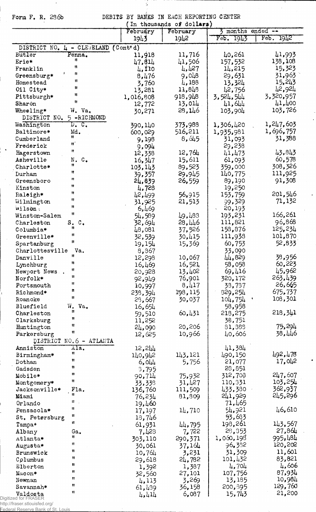Form F. R. 286b

 $\overline{\phantom{a}}$ 

 $\sim$ 

 $\hat{\mathcal{A}}$ 

 $\mathcal{L}^{\pm}$ 

DEBITS BY BANKS IN EACH REPORTING CENTER<br>(In thousands of dollars)

 $\frac{1}{2}$ 

|                                           | THE DIMONDOMING OF MOTTWEEK!<br>February<br>February |         | $\frac{1}{2}$ months ended $-\frac{1}{2}$ |           |
|-------------------------------------------|------------------------------------------------------|---------|-------------------------------------------|-----------|
|                                           | 1943                                                 | 1942    | 7943<br>Feb.                              | Feb. 1942 |
|                                           |                                                      |         |                                           |           |
| DISTRICT NO. 4 - CLEVELAND                | (Cont d)                                             |         |                                           |           |
| Butler<br>Penna.                          | 11,918                                               | 11,716  | 40,261                                    | 41,993    |
| 11<br>Erie*                               | 47,814                                               | 41,506  | 157,532                                   | 138,108   |
| n<br>Franklin                             | 4,110                                                | 4,427   | 14,215                                    | 15,323    |
| n<br>Greensburg*                          | 8,476                                                | 9,048   | 29,631                                    | 31,963    |
| Ħ<br>Homestead                            | 3,760                                                | 4,188   | 13,324                                    | 15,243    |
| Ħ<br>Oil City*                            | 13,281                                               | 11,848  | 42,756                                    | 12,921    |
| Ħ<br>Pittsburgh*                          | 1,016,808                                            | 918,948 | 3,524,544                                 | 3,320,957 |
| n<br>Sharon                               | 12,772                                               | 13,014  | 41,644                                    | 41,400    |
| Wheeling*<br>W. Va.                       | 30,271                                               | 28,146  | 103,904                                   | 103,726   |
| DISTRICT NO.<br>5-RICHMOND                |                                                      |         |                                           |           |
| Washington<br>$D_{\bullet}$ $C_{\bullet}$ | 390,140                                              | 373.988 | 1,306,420                                 | 1,247,603 |
| Baltimore*<br>Md.                         | 600,029                                              | 516,211 | 1,935,981                                 | 1,696,757 |
| Ħ<br>Cumberland                           | 9,198                                                | 8,645   | 31,093                                    | 31,388    |
| Ħ<br>Frederick                            | 9,094                                                |         | 29,238                                    |           |
| $\mathbf{H}$<br>Hagerstown                | 12,338                                               | 12,764  | 41,473                                    | 43,843    |
| Asheville<br>N. C.                        | 16,347                                               | 15,611  | 61,093                                    | 60,578    |
| Ħ<br>Charlotte*                           | 103,143                                              | 89,523  | 359,000                                   | 308,326   |
| Ħ<br>Durham                               | 39,357                                               | 29,945  | 140,775                                   | 111,925   |
| $\mathbf{H}$<br>Greensboro                | 24,839                                               | 26,559  | 89,190                                    | 91,308    |
| Ħ<br>Kinston                              | 4,728                                                |         | 19,250                                    |           |
| Ħ<br>Raleigh*                             | 42,499                                               | 56,915  | 153,759                                   | 201,546   |
| n<br>Wilmington                           | 31,925                                               | 21,513  | 99,329                                    | 71,132    |
| Ħ<br>wilson.                              | 6,469                                                |         | 20,193                                    |           |
| 11<br>Winston-Salem                       | 54,589                                               | 49,483  | 193,231                                   | 166,261   |
| $\circ$ .<br>Charleston<br>S.             | 32,694                                               | 28,446  | 111,821                                   | 96,868    |
| n<br>Columbia*                            | 48,081                                               | 37,526  | 158,876                                   | 125,234   |
| Ħ<br>Greenville*                          | 32,539                                               | 30,415  | 111,938                                   | 101,870   |
| n<br>Spartanburg                          | 19,154                                               | 15,369  | 60, 753                                   | 52,833    |
| Charlottesville<br>Va.                    | 8,867                                                |         | 33,090                                    |           |
| Ħ<br>Danville                             | 12,298                                               | 10,067  | 44,829                                    | 38,956    |
| 11<br>Lynchburg                           | 16,469                                               | 16,521  | 58,058                                    | 60,223    |
| Ħ<br>Newport News                         | 20,928                                               | 13,402  | 69,416                                    | 45,962    |
| Ħ<br>Norfolk*                             |                                                      | 76,901  | 320,172                                   | 263,439   |
| Ħ<br>Portsmouth                           | 92,949                                               | 8,417   | 33,737                                    | 26,665    |
| n<br>Richmond*                            | 10,997                                               | 198,115 | 329,254                                   | 675,737   |
| Ħ<br>Roanoke                              | 238,394                                              |         |                                           | 108,301   |
| Bluefield<br>W.<br>Va.                    | 23,667                                               | 30,037  | 104,754                                   |           |
| n                                         | 16,654                                               | 60,431  | 58,958<br>218,275                         | 218,341   |
| Charleston<br>Ħ                           | 59,510                                               |         |                                           |           |
| Clarksburg<br>Ħ                           | 11,252                                               | 20,206  | 38,751                                    | 75,294    |
| Huntington<br>Ħ                           | 24,090                                               |         | 81,388                                    | 38,446    |
| Parkersburg                               | 12,625                                               | 10,966  | 40,606                                    |           |
| DISTRICT NO.6 - ATLANTA                   |                                                      |         |                                           |           |
| Ala.<br>Anniston<br>Ħ                     | 12,244                                               |         | 41,384                                    | 492,478   |
| Birmingham*<br>n<br>Dothan                | 140,942                                              | 143,121 | 490,150<br>21,077                         | 17,042    |
| 11                                        | 6,044                                                | 5,756   | 28,851                                    |           |
| Gadsden<br>11                             | 3,795                                                |         | 312,708                                   | 247,607   |
| Mobile*<br>Ħ                              | 90,714                                               | 75,932  | 110,331                                   | 103,254   |
| Montgomery*<br>Fla.                       | 33,338                                               | 31,427  |                                           | 362,937   |
| Jacksonville*<br>Ħ                        | 136,760                                              | 111,509 | 433,380                                   | 245,296   |
| Miami<br>Ħ                                | 76,234                                               | 81,809  | 241,929                                   |           |
| Orlando<br>n                              | 19,460                                               |         | 71,465                                    | 46,610    |
| Pensacola*<br>Ħ                           | 17,197                                               | 14,710  | 54,921                                    |           |
| St. Petersburg<br>Ħ                       | 18,746                                               |         | 53,683                                    |           |
| Tampa*                                    | 61,931                                               | 44,795  | 198,261                                   | 143,567   |
| Albany<br>Ga.<br>n                        | 7,428                                                | 7,722   | 28,353                                    | 27,864    |
| Atlanta*<br>Ħ                             | 303,110                                              | 290,371 | 1,060,198                                 | 995,484   |
| Augusta*                                  | 30,061                                               | 37,164  | 96.332                                    | 120,202   |
| 11<br>Brunswick                           | 10,764                                               | 3,231   | 31,309                                    | 11,601    |
| Ħ<br>Columbus                             | 29,618                                               | 24,782  | 101,432                                   | 83,821    |
| Ħ<br>Elberton                             | 1,392                                                | 1,387   | 4,704                                     | 4,606     |
| Ħ<br>Macon*                               | 32,560                                               | 27,101  | 107,756                                   | 87,934    |
| Ħ<br>Newnan                               | 4,113                                                | 3,269   | 13,185                                    | 10,984    |
| Ħ<br>Savannah*                            | 61,439                                               | 36,158  | 200,395                                   | 129,760   |
| 11<br>Valdosta                            | 4,411                                                | 6,087   | 15,743                                    | 21,200    |

 $\ddot{\phantom{a}}$ 

**valuos ca**<br>Digitized for FRASER<br>http://fraser.stlouisfed.org/<br>Eederal Reserve Bank of St. Louis.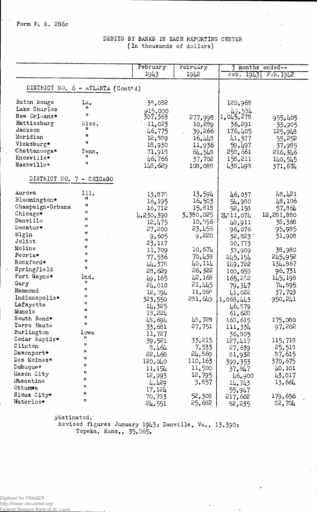#### February February 3 months ended--1943 1942  $Feb. 1943$  $F$ <sup>9</sup>b. 19 $L$ 2 DISTRICT NO. 6 - ATLANTA (Cont'd) Baton Rouge La. 38,082 120,968  $\big|_{1,0\downarrow5,278}$ Lake Charles 715,000  $\mathbf{H}$ 307,363 New Orleans\* 277,998 955,405 Hattiesburg miss. 11,023 36,291 10,289 33,905  $125.948$ Jackson  $\mathbf{r}$ 46,775 39,266 176,405  $\mathbf{u}$ Meridian 12,889  $16,443$ 41,577 55,252 Vicksburg\*  $\mathbf{R}$ 18,930 11,936 59,497 37,985 Chattanooga\* Tenn. 64,548 253,661 71,918 216,346  $\mathbf{H}$ Knoxville\* 46,766 37,702 158,211 140,545  $\mathbf{r}$ Nashville\* 371,674  $148,629$ 108,088 438,498 DISTRICT NO. 7 - CHICAGO Aurora Ill. 13,594 48,421 13,878 46,037 Bloomington\*  $\pmb{\mathfrak{y}}$ 16, 195<br>16, 712 16,503 54,980 48,106  $\mathbf{u}$ Champaign-Urbana 15,818 52,158 57,864  $\mathbf{u}$ Chicago\* 3,380,025 12,281,880 4,230,390 13,811,074  $\overline{u}$ Danville 12,475 10,356 38,368 40,911  $\mathbf{u}$ Decatur\* 23,456 95,985 27,200 96,076  $\mathbf{u}$ Elgin 9,605 9,220 32,823 31,908  $\mathbf{u}$ Joliet 23,117 80,773  $\mathbf{r}$ Moline 10,674 38,980 11,709 33,909  $\mathbf{u}$ Peoria\* 77,536 70,438 245,952 245, 154  $\mathbf{H}$  ${\tt Rockford*}$ 40,114 44,378 149,722 134,867  $\mathbf{H}$ Springfield 28,629 26,322 96,731 100,653 Fort Wayne\* Ind. 42,168 145,198 49,165 165,282  $\mathbf{u}$ Gary 21,445 24,010 79,347 74,895  $\mathbf{u}$ Hammond 12,094 11,068 41,022 37,703  $\mathbf{u}$ Indianapolis\* 323,550  $231,649$ 1,068,443 950,241  $\mathbf{H}$ Lafayette 14,325 46,879  $\mathbf{u}$ Muncie 13,224 61,628  $\mathbf{u}$ South Bend\* 48,694 48,728 175,080 163,615  $\mathbf{u}$ Terre Haute 33,681 27,751 111,334 97,202 Burlington Iowa 11,727 36,805  $\mathbf{H}$ Cedar Rapids\* 33,215 39,521 127,417 115,718  $\mathbf{H}$  $\tt C1$  inton 7,533 25,513  $8,464$ 27,639  $\mathbf{H}$ Davenport\* 87,615 22,468 24,869 81,932  $\mathbf{u}$ Des Moines\* 370,675 110,163 120,040 399.353  $\mathbf{r}$ Dubuque\* 11,500 11,154 40,101 37,847 Ħ Mason City 12,795 43,017 12,993 46,900 'n Muscatine 4,429 3,857  $13,664$ 14,743  $\mathbf{u}$ Ottumwa 17,124 55,947  $\mathbf{u}$ Sioux City\* 52,308 70,783 217,602 179,656  $\mathbf{r}$ Waterloo\* 25,682 82,704  $24,551$ 82,235

#### DEBITS BY BANKS IN EACH REPORTING CENTER (In thousands of dollars)

#Estimated.

Revised figures January 1943; Danville, Va., 13,390; Topeka, Kans., 35,365.

Digitized for FRASER http://fraser.stlouisfed.org/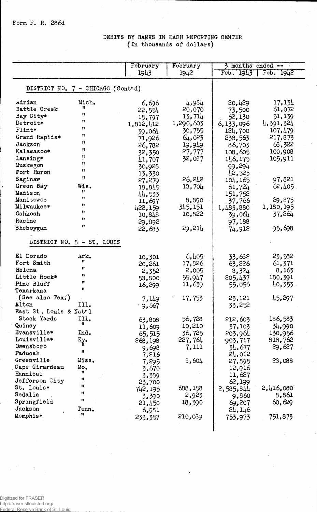# DEBITS BY BANKS IN EACH REPORTING CENTER (In thousands of dollars)

|                                   |                            | February  | February           | 3 months ended -- |              |
|-----------------------------------|----------------------------|-----------|--------------------|-------------------|--------------|
|                                   |                            | 1943      | 1942               | Feb. 1943         | $F = 5.1912$ |
|                                   |                            |           |                    |                   |              |
| DISTRICT NO. 7 - CHICAGO (Cont'd) |                            |           |                    |                   |              |
| Adrian                            | Mich.                      | 6,696     | 4,984              | 20,429            | 17,134       |
| Battle Creek                      | Ħ                          | 22,554    | 20,070             | 73,500            | 61,072       |
| Bay City*                         | u                          | 15,797    | 13,714             | 52,130            | 51,139       |
| Detroit*                          | Ħ                          | 1,812,412 | 1,290,603          | 6,133,096         | 4,391,324    |
| Flint*                            | 11                         | 39,064    | 30,755             | 124,700           | 107,479      |
| Grand Rapids*                     | 11                         | 71,926    | 64,023             | 238,563           | 217,873      |
| Jackson                           | Ħ                          | 26,782    | 19,9 <sub>49</sub> | 86,703            | 68,322       |
| Kalamazoo*                        | Ħ                          | 32,350    | 27,777             | 108,605           | 100,908      |
| Lansing*                          | n                          | 41,707    | 32,087             | 146,175           | 105,911      |
| Muskegon                          | 11                         | 30,928    |                    | 99,294            |              |
| Port Huron                        | u                          | 13,330    |                    | 42,525            |              |
| Saginaw                           | Ħ                          | 27,279    | 26, 242            | 104, 165          | 97,821       |
| Green Bay                         | Wis.                       | 18,845    | 13,704             | 61,724            | 62, 405      |
| Madison                           | 11                         | 44,533    |                    | 151,752           |              |
| Manitowoc                         | Ħ                          | 11,697    | 8,890              | 37,766            | 29,875       |
| Milwaukee*                        | Ħ                          | 422,159   | 345,151            | 1,483,880         | 1,180,195    |
| Oshkosh                           | Ħ                          | 10, 848   | 10,822             | 39,064            | 37,264       |
| Racine                            | n                          | 29,892    |                    | 97,188            |              |
| Sheboygan                         | 11                         | 22,633    | 29,214             | 74,912            | 95,698       |
|                                   |                            |           |                    |                   |              |
|                                   | LISTRICT NO. 8 - ST. LOUIS |           |                    |                   |              |
| El Dorado                         | Ark.                       | 10,301    | 6,405              | 33,632            | 23,582       |
| Fort Smith                        | Ħ                          | 20,261    | 17,826             | 63,226            | 61,371       |
| Helena                            | Ħ                          | 2,352     | 2,005              | 8,324             | 8,163        |
| Little Rock*                      | n                          | 53,800    | 55,947             | 205,437           | 180,391      |
| Pine Bluff                        | H.                         | 16,299    | 11,639             | 55,056            | 40,353       |
| Texarkana                         | n                          |           |                    |                   |              |
| (See also Tex.)                   |                            | 7,149     | 17,753             | 23,121            | 45,297       |
| Alton                             | 111.                       | 19,667    |                    | 33,252            |              |
| East St. Louis & Nat'l            |                            |           |                    |                   |              |
| Stock Yards                       | 111.<br>n                  | 63,808    | 56,728             | 212,603           | 186,583      |
| Quincy                            |                            | 11,609    | 10,210             | 37,103            | 34,990       |
| Evansville*                       | Ind.                       | 65,515    | 36,725             | 203,964           | 130,956      |
| Louisville*                       | Kу.                        | 268,198   | 227,764            | 903,717           | 818,762      |
| Owensboro                         | Ħ                          | 9,698     | 7,111              | 34,677            | 29,627       |
| Paducah                           |                            | 7,216     |                    | 24,012            |              |
| Greenville                        | Miss.                      | 7,295     | 8,604              | 27,895            | 28,088       |
| Cape Girardeau                    | Mo.<br>Ħ                   | 3,670     |                    | 12,916            |              |
| Hannibal<br>Jefferson City        | 11                         | 3,339     |                    | 11,627            |              |
|                                   | 11                         | 23,700    |                    | 62,199            |              |
| St. Louis*<br>Sedalia             | 11                         | 742, 195  | 688,158            | 2,585,844         | 2,416,080    |
|                                   | 11                         | 3,390     | 2,923              | 9,860             | 8,861        |
| Springfield<br>Jackson            |                            | 21,450    | 18,390             | 69,207            | 60,629       |
| Memphis*                          | Tenn.                      | 6,981     |                    | 24,146            |              |
|                                   |                            | 233,357   | 210,089            | 753,973           | 751,873      |
|                                   |                            |           |                    |                   |              |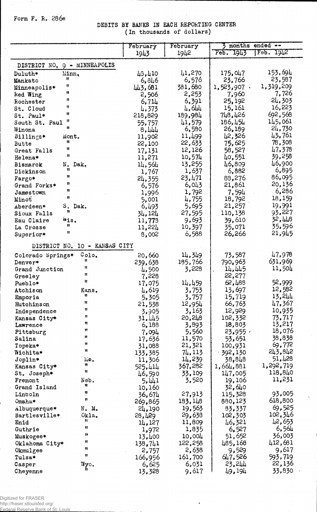### Form F. R. 286e

 $\sim$ 

DEBITS BY BANKS IN EACH REPORTING CENTER (In thousands of dollars)

|                              |                        | February          | February         | months<br>ended $\leftarrow$ |                   |
|------------------------------|------------------------|-------------------|------------------|------------------------------|-------------------|
|                              |                        | 1943              | 19 <sup>12</sup> | Feb. 1943                    | Feb.<br>1942      |
| DISTRICT NO. 9 - MINNEAPOLIS |                        |                   |                  |                              |                   |
| Minn.<br>Duluth*             |                        | 43,410            | 41,270           | 175,047                      | 153,694           |
| Ħ<br>Mankato                 |                        | 6,846             | 6,576            | 23,766                       | 23,587            |
| u<br>Minneapolis*            |                        | 443,681           | 381,680          | $1,523,907$ .                | 1,319,209         |
| Ħ<br>Red Wing                |                        | 2,506             | 2,253            | 7,960                        | 7,726             |
| 11<br>Rochester              |                        | 6,714             | 6,391            | 25,192                       | 24,303            |
| Ħ<br>St. Cloud               |                        | 4,373             | 4,644            | 15,161                       | 16,223            |
| Ħ<br>St. Paul*               |                        | 218,829           | 189,984          | 748,426                      | 692,568           |
| Ħ<br>South St. Paul          |                        | 55,757            | 41,579           | 186,454                      | 145,061           |
| 11<br>Winona                 |                        | 8,444             | 6,580            | 26,189                       | 24,730            |
| Billings*<br>Mont.           |                        | 11,902            | 11,499           | 42,326                       | 43,761            |
| Ħ<br>Butte<br>11             |                        | 22,100            | 22,633           | 75,625                       | 78,308            |
| Great Falls<br>Ħ             |                        | 17,131            | 12,126           | 58,527                       | 47,378            |
| Helena*                      |                        | 11,271            | 10,574           | 40,551                       | 39,258<br>46,900  |
| N.<br>Bismarck<br>Ħ          | Dak.                   | 14,564            | 13,255           | 46,809                       | 6,895             |
| Dickinson<br>Ħ               |                        | 1,767             | 1,637<br>23,471  | 6,882                        | 86,095            |
| Fargo*<br>n                  |                        | 24,355            | 6,043            | 88,276<br>21,861             | 20,136            |
| Grand Forks*<br>11           |                        | 6,576             | 1,792            | 7,594                        | 6,286             |
| Jamestown<br>Ħ<br>Minot      |                        | 1,996<br>5,001    | 4,755            | 18,792                       | 18,159            |
| Aberdeen*                    | S. Dak.                | 6,493             | 5,695            | 21,257                       | 19,991            |
| Ħ<br>Sioux Falls             |                        | 34,124            | 27,595           | 110,138                      | 93,227            |
| Wis.<br>Eau Claire           |                        | 11,773            | 9,693            | 39,610                       | 32,448            |
| 8<br>La Crosse               |                        | 11,224            | 10,397           | 35,071                       | 35,596            |
| 11<br>Superior*              |                        | 8,002             | 6,588            | 26,266                       | 21,945            |
| DISTRICT NO.                 | 10 - KANSAS CITY       |                   |                  |                              |                   |
|                              |                        |                   |                  |                              |                   |
| Colorado Springs*            | Colo <sub>o</sub><br>Ħ | 20,660            | 14,349           | 73,587                       | 47,978            |
| Denver*                      | Ħ                      | 239,638           | 185,766          | 790,963                      | 631,969<br>11,504 |
| Grand Junction               | 11                     | 4,500             | 3,228            | 14,445<br>22,277             |                   |
| Greeley<br>Pueblo*           | Ħ                      | 7,228<br>17,075   | 14,459           | 62,488                       | 52,999            |
| Atchison                     | Kans.                  | 4,619             | 3,753            | 13,697                       | 12,582            |
| Emporia                      | 11                     | 5,305             | 3,757            | 15,719                       | 13,244            |
| Hutchinson                   | Ħ                      | 21,538            | 12,954           | 66,763                       | 47,367            |
| Independence                 | 11                     | 3,905             | 3,163            | 12,929                       | 10,935            |
| Kansas City*                 | Ħ                      | 31,445            | 20,248           | 102,332                      | 73,717            |
| Lawrence                     | 11                     | 6,188             | 3,893            | 18,803                       | 13,217            |
| Pittsburg                    | Ħ                      | 7,094             | 5,560            | 23,955                       | 18,076            |
| Salina                       | Ħ                      | 17,636            | 11,570           | 53,651                       | 38,838            |
| Topeka*                      | 11                     | 31,088            | 21,321           | 100,931                      | 69,772            |
| Wichita*                     | 11                     | 133,385           | 74,113           | 392,130                      | 243,842           |
| Joplin*                      | Mo.                    | 11,306            | 14,239           | 38,848                       | 51,428            |
| Kansas City*                 | n<br>Ħ                 | 525,414           | 367,282          | 1,664,881                    | 1,292,719         |
| St. Joseph*                  |                        | 46,590            | 33,109           | 147,005                      | 118,840           |
| Fremont                      | Neb.<br>Ħ              | 5,441             | 3,520            | 19,106                       | 11,231            |
| Grand Island                 | Ħ                      | 10,160            |                  | 32,640                       |                   |
| Lincoln                      | Ħ                      | 36,674            | 27,913           | 115,328                      | 93,005            |
| Omaha*                       |                        | 269,865           | 183,148          | 880,123                      | 618,800           |
| Albuquerque*                 | $N$ . M.               | 24,190            | 19,563           | 83,337                       | 69,525<br>102,346 |
| Bartlesville*                | Okla.<br>Ħ             | 28,429            | 29,638           | 102,303                      | 42,653            |
| Enid                         | Ħ                      | 14,127            | 11,809           | 46,321<br>6,527              | 6,564             |
| Guthrie                      | n                      | 1,972             | 1,835<br>10,004  | 51,652                       | 36,003            |
| Muskogee*<br>Oklahoma City*  | Ħ                      | 13,400<br>138,741 | 122,258          | 485,168                      | 412,681           |
| Okmulgee                     | 11                     | 2,757             | 2,638            | 9,529                        | 9,617             |
| Tulsa*                       | Ħ                      | 166,956           | 161,700          | 647,526                      | 593,719           |
| Casper                       | Wyo.                   | 6,625             | 6,031            | 23,244                       | 22,136            |
| Cheyenne                     |                        | 13,328            | 9,617            | 49,194                       | 33,830            |
|                              |                        |                   |                  |                              |                   |

 $\bullet$